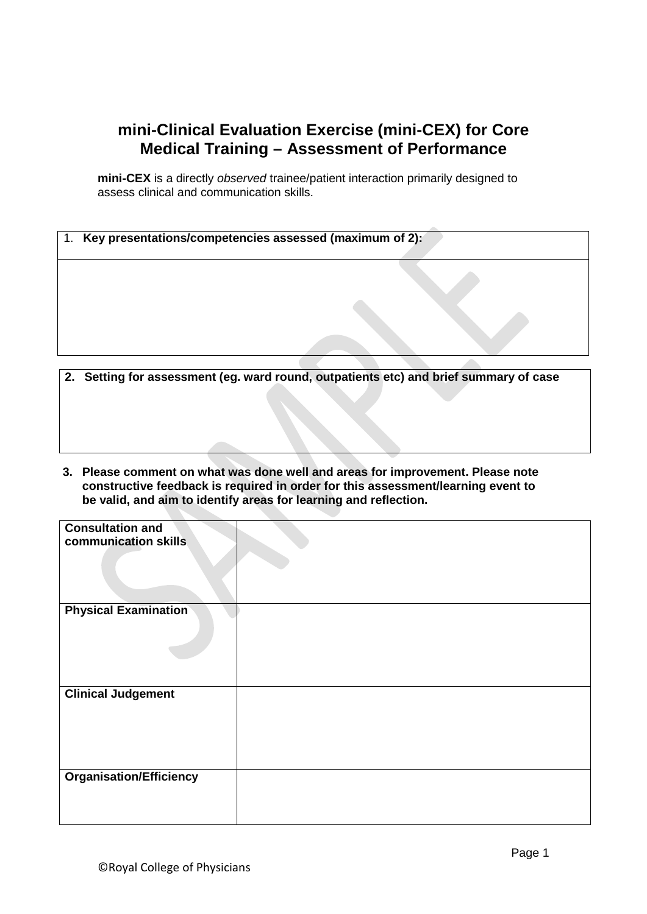## **mini-Clinical Evaluation Exercise (mini-CEX) for Core Medical Training – Assessment of Performance**

**mini-CEX** is a directly *observed* trainee/patient interaction primarily designed to assess clinical and communication skills.

| Key presentations/competencies assessed (maximum of 2):                               |  |
|---------------------------------------------------------------------------------------|--|
|                                                                                       |  |
|                                                                                       |  |
|                                                                                       |  |
| 2. Setting for assessment (eg. ward round, outpatients etc) and brief summary of case |  |

**3. Please comment on what was done well and areas for improvement. Please note constructive feedback is required in order for this assessment/learning event to be valid, and aim to identify areas for learning and reflection.**

| <b>Consultation and</b><br>communication skills |  |
|-------------------------------------------------|--|
|                                                 |  |
| <b>Physical Examination</b>                     |  |
|                                                 |  |
|                                                 |  |
| <b>Clinical Judgement</b>                       |  |
| <b>Organisation/Efficiency</b>                  |  |